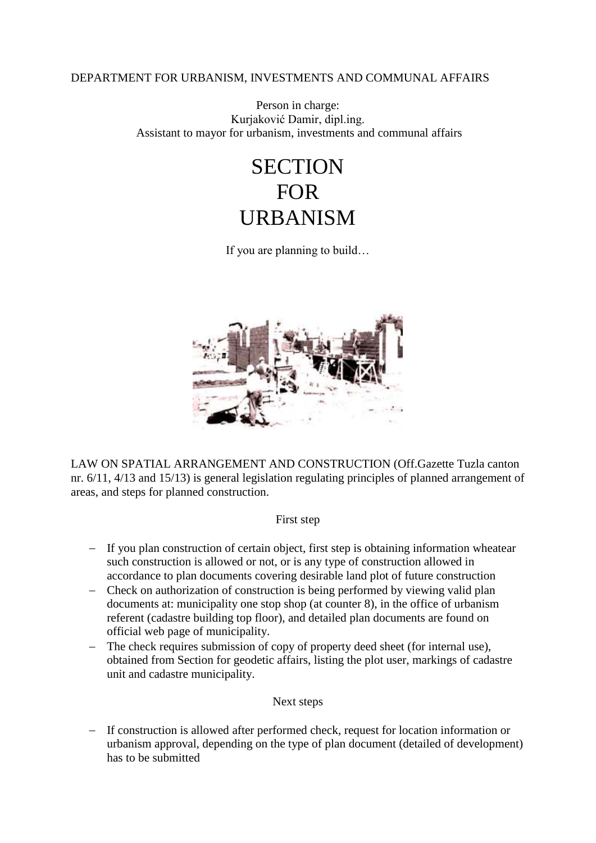### DEPARTMENT FOR URBANISM, INVESTMENTS AND COMMUNAL AFFAIRS

#### Person in charge: Kurjaković Damir, dipl.ing. Assistant to mayor for urbanism, investments and communal affairs

# **SECTION** FOR URBANISM

If you are planning to build…



LAW ON SPATIAL ARRANGEMENT AND CONSTRUCTION (Off.Gazette Tuzla canton nr. 6/11, 4/13 and 15/13) is general legislation regulating principles of planned arrangement of areas, and steps for planned construction.

#### First step

- If you plan construction of certain object, first step is obtaining information wheatear such construction is allowed or not, or is any type of construction allowed in accordance to plan documents covering desirable land plot of future construction
- Check on authorization of construction is being performed by viewing valid plan documents at: municipality one stop shop (at counter 8), in the office of urbanism referent (cadastre building top floor), and detailed plan documents are found on official web page of municipality.
- The check requires submission of copy of property deed sheet (for internal use), obtained from Section for geodetic affairs, listing the plot user, markings of cadastre unit and cadastre municipality.

#### Next steps

 If construction is allowed after performed check, request for location information or urbanism approval, depending on the type of plan document (detailed of development) has to be submitted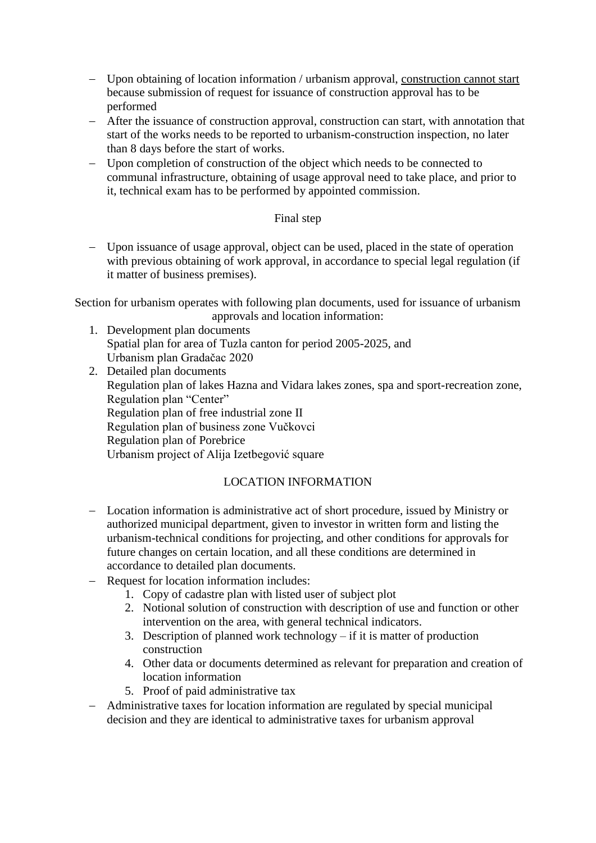- Upon obtaining of location information / urbanism approval, construction cannot start because submission of request for issuance of construction approval has to be performed
- After the issuance of construction approval, construction can start, with annotation that start of the works needs to be reported to urbanism-construction inspection, no later than 8 days before the start of works.
- Upon completion of construction of the object which needs to be connected to communal infrastructure, obtaining of usage approval need to take place, and prior to it, technical exam has to be performed by appointed commission.

### Final step

 Upon issuance of usage approval, object can be used, placed in the state of operation with previous obtaining of work approval, in accordance to special legal regulation (if it matter of business premises).

Section for urbanism operates with following plan documents, used for issuance of urbanism approvals and location information:

- 1. Development plan documents Spatial plan for area of Tuzla canton for period 2005-2025, and Urbanism plan Gradačac 2020
- 2. Detailed plan documents Regulation plan of lakes Hazna and Vidara lakes zones, spa and sport-recreation zone, Regulation plan "Center" Regulation plan of free industrial zone II Regulation plan of business zone Vučkovci Regulation plan of Porebrice Urbanism project of Alija Izetbegović square

## LOCATION INFORMATION

- Location information is administrative act of short procedure, issued by Ministry or authorized municipal department, given to investor in written form and listing the urbanism-technical conditions for projecting, and other conditions for approvals for future changes on certain location, and all these conditions are determined in accordance to detailed plan documents.
- Request for location information includes:
	- 1. Copy of cadastre plan with listed user of subject plot
	- 2. Notional solution of construction with description of use and function or other intervention on the area, with general technical indicators.
	- 3. Description of planned work technology if it is matter of production construction
	- 4. Other data or documents determined as relevant for preparation and creation of location information
	- 5. Proof of paid administrative tax
- Administrative taxes for location information are regulated by special municipal decision and they are identical to administrative taxes for urbanism approval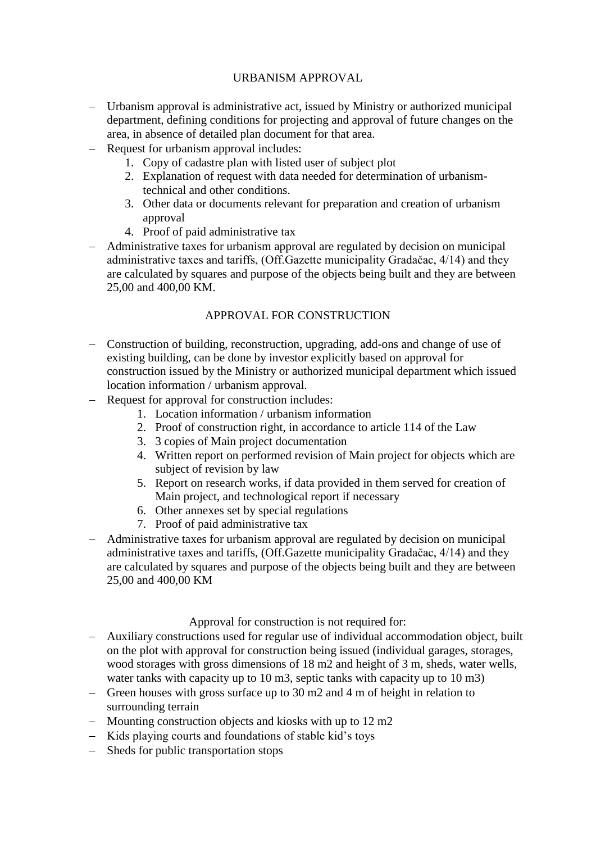## URBANISM APPROVAL

- Urbanism approval is administrative act, issued by Ministry or authorized municipal department, defining conditions for projecting and approval of future changes on the area, in absence of detailed plan document for that area.
- Request for urbanism approval includes:
	- 1. Copy of cadastre plan with listed user of subject plot
	- 2. Explanation of request with data needed for determination of urbanismtechnical and other conditions.
	- 3. Other data or documents relevant for preparation and creation of urbanism approval
	- 4. Proof of paid administrative tax
- Administrative taxes for urbanism approval are regulated by decision on municipal administrative taxes and tariffs, (Off.Gazette municipality Gradačac, 4/14) and they are calculated by squares and purpose of the objects being built and they are between 25,00 and 400,00 KM.

# APPROVAL FOR CONSTRUCTION

- Construction of building, reconstruction, upgrading, add-ons and change of use of existing building, can be done by investor explicitly based on approval for construction issued by the Ministry or authorized municipal department which issued location information / urbanism approval.
- Request for approval for construction includes:
	- 1. Location information / urbanism information
	- 2. Proof of construction right, in accordance to article 114 of the Law
	- 3. 3 copies of Main project documentation
	- 4. Written report on performed revision of Main project for objects which are subject of revision by law
	- 5. Report on research works, if data provided in them served for creation of Main project, and technological report if necessary
	- 6. Other annexes set by special regulations
	- 7. Proof of paid administrative tax
- Administrative taxes for urbanism approval are regulated by decision on municipal administrative taxes and tariffs, (Off.Gazette municipality Gradačac, 4/14) and they are calculated by squares and purpose of the objects being built and they are between 25,00 and 400,00 KM

## Approval for construction is not required for:

- Auxiliary constructions used for regular use of individual accommodation object, built on the plot with approval for construction being issued (individual garages, storages, wood storages with gross dimensions of 18 m2 and height of 3 m, sheds, water wells, water tanks with capacity up to 10 m3, septic tanks with capacity up to 10 m3)
- Green houses with gross surface up to  $30 \text{ m}$  and  $4 \text{ m}$  of height in relation to surrounding terrain
- $-$  Mounting construction objects and kiosks with up to 12 m2
- Kids playing courts and foundations of stable kid's toys
- Sheds for public transportation stops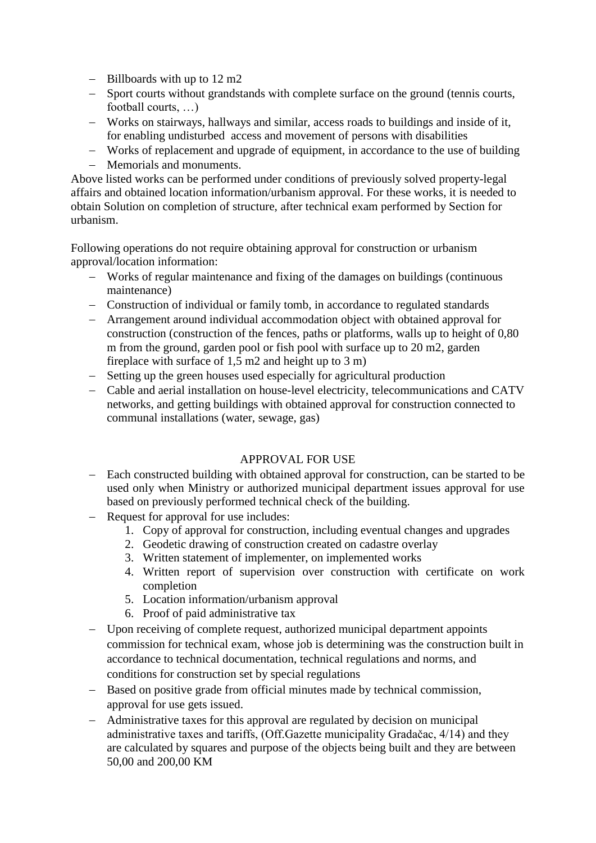- $-$  Billboards with up to 12 m2
- Sport courts without grandstands with complete surface on the ground (tennis courts, football courts, …)
- Works on stairways, hallways and similar, access roads to buildings and inside of it, for enabling undisturbed access and movement of persons with disabilities
- Works of replacement and upgrade of equipment, in accordance to the use of building
- Memorials and monuments.

Above listed works can be performed under conditions of previously solved property-legal affairs and obtained location information/urbanism approval. For these works, it is needed to obtain Solution on completion of structure, after technical exam performed by Section for urbanism.

Following operations do not require obtaining approval for construction or urbanism approval/location information:

- Works of regular maintenance and fixing of the damages on buildings (continuous maintenance)
- Construction of individual or family tomb, in accordance to regulated standards
- Arrangement around individual accommodation object with obtained approval for construction (construction of the fences, paths or platforms, walls up to height of 0,80 m from the ground, garden pool or fish pool with surface up to 20 m2, garden fireplace with surface of 1,5 m2 and height up to 3 m)
- Setting up the green houses used especially for agricultural production
- Cable and aerial installation on house-level electricity, telecommunications and CATV networks, and getting buildings with obtained approval for construction connected to communal installations (water, sewage, gas)

# APPROVAL FOR USE

- Each constructed building with obtained approval for construction, can be started to be used only when Ministry or authorized municipal department issues approval for use based on previously performed technical check of the building.
- Request for approval for use includes:
	- 1. Copy of approval for construction, including eventual changes and upgrades
	- 2. Geodetic drawing of construction created on cadastre overlay
	- 3. Written statement of implementer, on implemented works
	- 4. Written report of supervision over construction with certificate on work completion
	- 5. Location information/urbanism approval
	- 6. Proof of paid administrative tax
- Upon receiving of complete request, authorized municipal department appoints commission for technical exam, whose job is determining was the construction built in accordance to technical documentation, technical regulations and norms, and conditions for construction set by special regulations
- Based on positive grade from official minutes made by technical commission, approval for use gets issued.
- Administrative taxes for this approval are regulated by decision on municipal administrative taxes and tariffs, (Off.Gazette municipality Gradačac, 4/14) and they are calculated by squares and purpose of the objects being built and they are between 50,00 and 200,00 KM